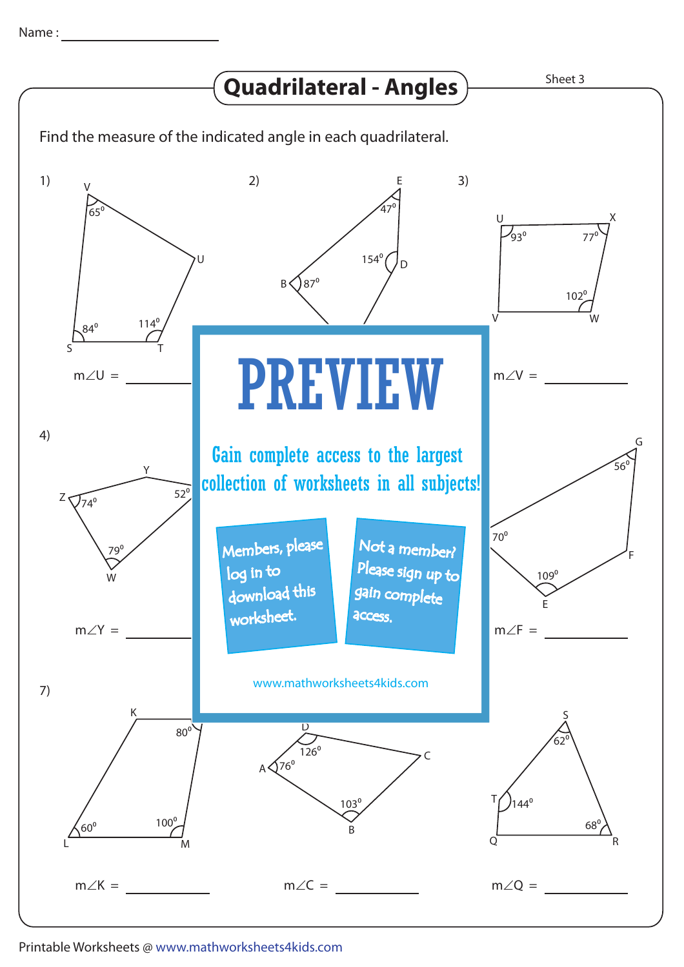